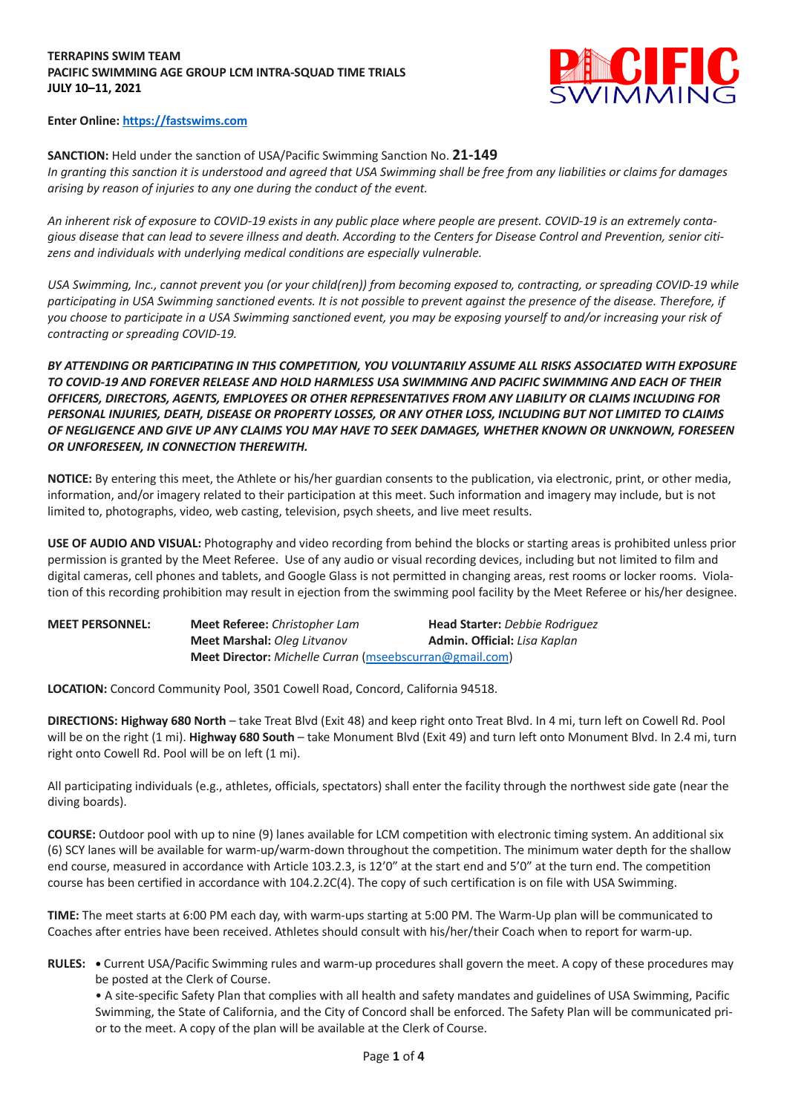## **TERRAPINS SWIM TEAM PACIFIC SWIMMING AGE GROUP LCM INTRA-SQUAD TIME TRIALS JULY 10–11, 2021**



## **Enter Online: https://fastswims.com**

**SANCTION:** Held under the sanction of USA/Pacific Swimming Sanction No. **21-149** *In granting this sanction it is understood and agreed that USA Swimming shall be free from any liabilities or claims for damages arising by reason of injuries to any one during the conduct of the event.*

*An inherent risk of exposure to COVID-19 exists in any public place where people are present. COVID-19 is an extremely contagious disease that can lead to severe illness and death. According to the Centers for Disease Control and Prevention, senior citizens and individuals with underlying medical conditions are especially vulnerable.*

*USA Swimming, Inc., cannot prevent you (or your child(ren)) from becoming exposed to, contracting, or spreading COVID-19 while participating in USA Swimming sanctioned events. It is not possible to prevent against the presence of the disease. Therefore, if you choose to participate in a USA Swimming sanctioned event, you may be exposing yourself to and/or increasing your risk of contracting or spreading COVID-19.*

*BY ATTENDING OR PARTICIPATING IN THIS COMPETITION, YOU VOLUNTARILY ASSUME ALL RISKS ASSOCIATED WITH EXPOSURE TO COVID-19 AND FOREVER RELEASE AND HOLD HARMLESS USA SWIMMING AND PACIFIC SWIMMING AND EACH OF THEIR OFFICERS, DIRECTORS, AGENTS, EMPLOYEES OR OTHER REPRESENTATIVES FROM ANY LIABILITY OR CLAIMS INCLUDING FOR PERSONAL INJURIES, DEATH, DISEASE OR PROPERTY LOSSES, OR ANY OTHER LOSS, INCLUDING BUT NOT LIMITED TO CLAIMS OF NEGLIGENCE AND GIVE UP ANY CLAIMS YOU MAY HAVE TO SEEK DAMAGES, WHETHER KNOWN OR UNKNOWN, FORESEEN OR UNFORESEEN, IN CONNECTION THEREWITH.*

**NOTICE:** By entering this meet, the Athlete or his/her guardian consents to the publication, via electronic, print, or other media, information, and/or imagery related to their participation at this meet. Such information and imagery may include, but is not limited to, photographs, video, web casting, television, psych sheets, and live meet results.

**USE OF AUDIO AND VISUAL:** Photography and video recording from behind the blocks or starting areas is prohibited unless prior permission is granted by the Meet Referee. Use of any audio or visual recording devices, including but not limited to film and digital cameras, cell phones and tablets, and Google Glass is not permitted in changing areas, rest rooms or locker rooms. Violation of this recording prohibition may result in ejection from the swimming pool facility by the Meet Referee or his/her designee.

| <b>MEET PERSONNEL:</b> | <b>Meet Referee:</b> Christopher Lam                    | <b>Head Starter:</b> Debbie Rodriguez |  |  |  |  |  |
|------------------------|---------------------------------------------------------|---------------------------------------|--|--|--|--|--|
|                        | <b>Meet Marshal: Oleg Litvanov</b>                      | <b>Admin. Official:</b> Lisa Kaplan   |  |  |  |  |  |
|                        | Meet Director: Michelle Curran (mseebscurran@gmail.com) |                                       |  |  |  |  |  |

**LOCATION:** Concord Community Pool, 3501 Cowell Road, Concord, California 94518.

**DIRECTIONS: Highway 680 North** – take Treat Blvd (Exit 48) and keep right onto Treat Blvd. In 4 mi, turn left on Cowell Rd. Pool will be on the right (1 mi). **Highway 680 South** – take Monument Blvd (Exit 49) and turn left onto Monument Blvd. In 2.4 mi, turn right onto Cowell Rd. Pool will be on left (1 mi).

All participating individuals (e.g., athletes, officials, spectators) shall enter the facility through the northwest side gate (near the diving boards).

**COURSE:** Outdoor pool with up to nine (9) lanes available for LCM competition with electronic timing system. An additional six (6) SCY lanes will be available for warm-up/warm-down throughout the competition. The minimum water depth for the shallow end course, measured in accordance with Article 103.2.3, is 12'0" at the start end and 5'0" at the turn end. The competition course has been certified in accordance with 104.2.2C(4). The copy of such certification is on file with USA Swimming.

**TIME:** The meet starts at 6:00 PM each day, with warm-ups starting at 5:00 PM. The Warm-Up plan will be communicated to Coaches after entries have been received. Athletes should consult with his/her/their Coach when to report for warm-up.

**RULES: •** Current USA/Pacific Swimming rules and warm-up procedures shall govern the meet. A copy of these procedures may be posted at the Clerk of Course.

• A site-specific Safety Plan that complies with all health and safety mandates and guidelines of USA Swimming, Pacific Swimming, the State of California, and the City of Concord shall be enforced. The Safety Plan will be communicated prior to the meet. A copy of the plan will be available at the Clerk of Course.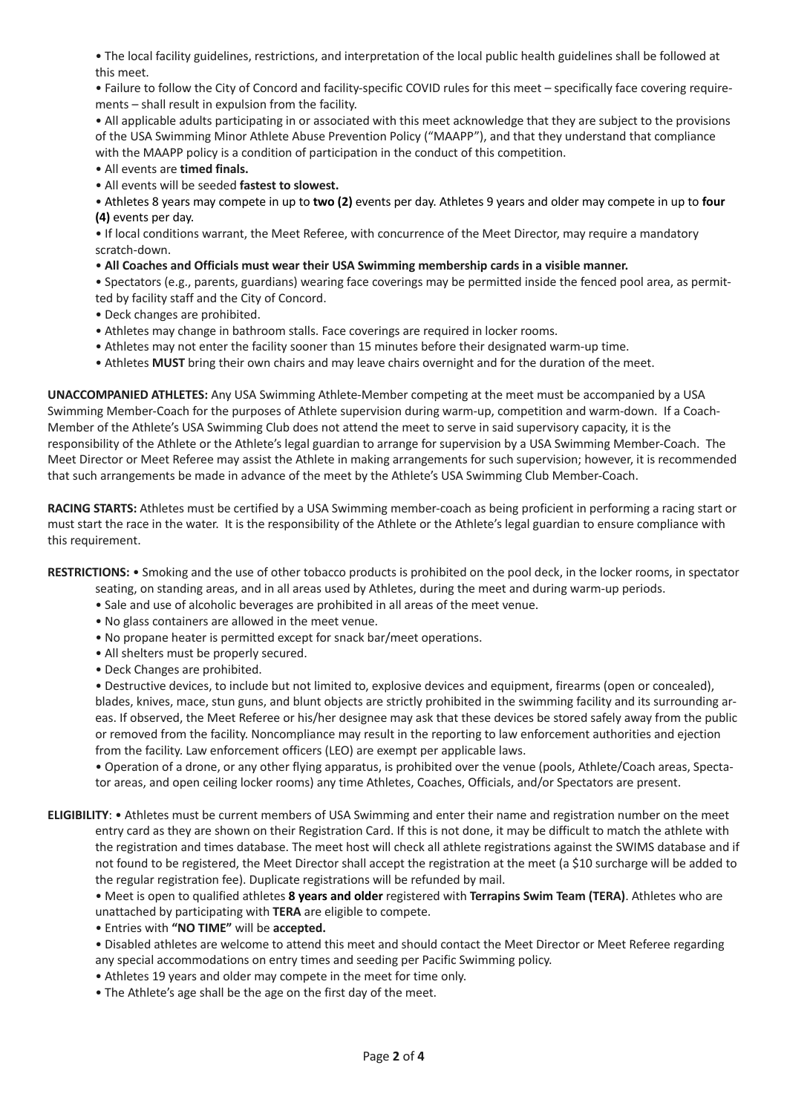• The local facility guidelines, restrictions, and interpretation of the local public health guidelines shall be followed at this meet.

• Failure to follow the City of Concord and facility-specific COVID rules for this meet – specifically face covering requirements – shall result in expulsion from the facility.

• All applicable adults participating in or associated with this meet acknowledge that they are subject to the provisions of the USA Swimming Minor Athlete Abuse Prevention Policy ("MAAPP"), and that they understand that compliance with the MAAPP policy is a condition of participation in the conduct of this competition.

• All events are **timed finals.**

• All events will be seeded **fastest to slowest.**

• Athletes 8 years may compete in up to **two (2)** events per day. Athletes 9 years and older may compete in up to **four (4)** events per day.

• If local conditions warrant, the Meet Referee, with concurrence of the Meet Director, may require a mandatory scratch-down.

• **All Coaches and Officials must wear their USA Swimming membership cards in a visible manner.**

• Spectators (e.g., parents, guardians) wearing face coverings may be permitted inside the fenced pool area, as permitted by facility staff and the City of Concord.

- Deck changes are prohibited.
- Athletes may change in bathroom stalls. Face coverings are required in locker rooms.
- Athletes may not enter the facility sooner than 15 minutes before their designated warm-up time.
- Athletes **MUST** bring their own chairs and may leave chairs overnight and for the duration of the meet.

**UNACCOMPANIED ATHLETES:** Any USA Swimming Athlete-Member competing at the meet must be accompanied by a USA Swimming Member-Coach for the purposes of Athlete supervision during warm-up, competition and warm-down. If a Coach-Member of the Athlete's USA Swimming Club does not attend the meet to serve in said supervisory capacity, it is the responsibility of the Athlete or the Athlete's legal guardian to arrange for supervision by a USA Swimming Member-Coach. The Meet Director or Meet Referee may assist the Athlete in making arrangements for such supervision; however, it is recommended that such arrangements be made in advance of the meet by the Athlete's USA Swimming Club Member-Coach.

**RACING STARTS:** Athletes must be certified by a USA Swimming member-coach as being proficient in performing a racing start or must start the race in the water. It is the responsibility of the Athlete or the Athlete's legal guardian to ensure compliance with this requirement.

**RESTRICTIONS:** • Smoking and the use of other tobacco products is prohibited on the pool deck, in the locker rooms, in spectator

- seating, on standing areas, and in all areas used by Athletes, during the meet and during warm-up periods.
- Sale and use of alcoholic beverages are prohibited in all areas of the meet venue.
- No glass containers are allowed in the meet venue.
- No propane heater is permitted except for snack bar/meet operations.
- All shelters must be properly secured.
- Deck Changes are prohibited.

• Destructive devices, to include but not limited to, explosive devices and equipment, firearms (open or concealed), blades, knives, mace, stun guns, and blunt objects are strictly prohibited in the swimming facility and its surrounding areas. If observed, the Meet Referee or his/her designee may ask that these devices be stored safely away from the public or removed from the facility. Noncompliance may result in the reporting to law enforcement authorities and ejection from the facility. Law enforcement officers (LEO) are exempt per applicable laws.

• Operation of a drone, or any other flying apparatus, is prohibited over the venue (pools, Athlete/Coach areas, Spectator areas, and open ceiling locker rooms) any time Athletes, Coaches, Officials, and/or Spectators are present.

**ELIGIBILITY**: • Athletes must be current members of USA Swimming and enter their name and registration number on the meet entry card as they are shown on their Registration Card. If this is not done, it may be difficult to match the athlete with the registration and times database. The meet host will check all athlete registrations against the SWIMS database and if not found to be registered, the Meet Director shall accept the registration at the meet (a \$10 surcharge will be added to the regular registration fee). Duplicate registrations will be refunded by mail.

• Meet is open to qualified athletes **8 years and older** registered with **Terrapins Swim Team (TERA)**. Athletes who are unattached by participating with **TERA** are eligible to compete.

- Entries with **"NO TIME"** will be **accepted.**
- Disabled athletes are welcome to attend this meet and should contact the Meet Director or Meet Referee regarding any special accommodations on entry times and seeding per Pacific Swimming policy.
- Athletes 19 years and older may compete in the meet for time only.
- The Athlete's age shall be the age on the first day of the meet.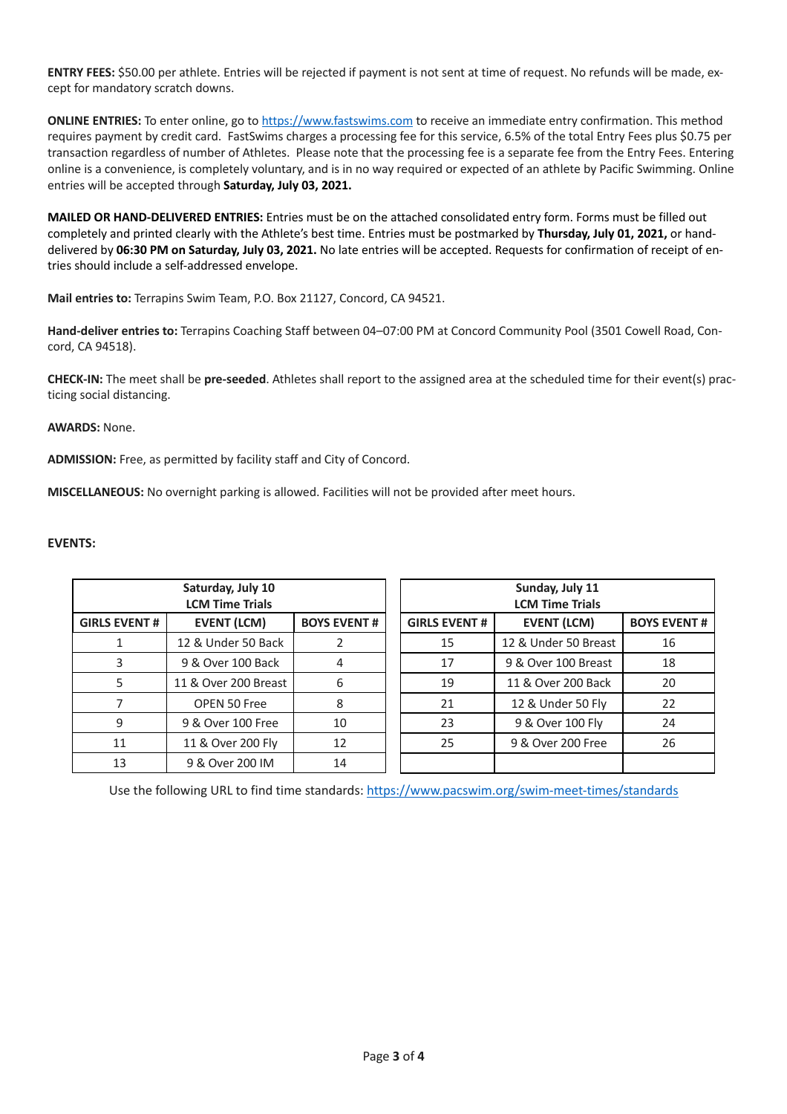**ENTRY FEES:** \$50.00 per athlete. Entries will be rejected if payment is not sent at time of request. No refunds will be made, except for mandatory scratch downs.

**ONLINE ENTRIES:** To enter online, go to https://www.fastswims.com to receive an immediate entry confirmation. This method requires payment by credit card. FastSwims charges a processing fee for this service, 6.5% of the total Entry Fees plus \$0.75 per transaction regardless of number of Athletes. Please note that the processing fee is a separate fee from the Entry Fees. Entering online is a convenience, is completely voluntary, and is in no way required or expected of an athlete by Pacific Swimming. Online entries will be accepted through **Saturday, July 03, 2021.**

**MAILED OR HAND-DELIVERED ENTRIES:** Entries must be on the attached consolidated entry form. Forms must be filled out completely and printed clearly with the Athlete's best time. Entries must be postmarked by **Thursday, July 01, 2021,** or handdelivered by **06:30 PM on Saturday, July 03, 2021.** No late entries will be accepted. Requests for confirmation of receipt of entries should include a self-addressed envelope.

**Mail entries to:** Terrapins Swim Team, P.O. Box 21127, Concord, CA 94521.

**Hand-deliver entries to:** Terrapins Coaching Staff between 04–07:00 PM at Concord Community Pool (3501 Cowell Road, Concord, CA 94518).

**CHECK-IN:** The meet shall be **pre-seeded**. Athletes shall report to the assigned area at the scheduled time for their event(s) practicing social distancing.

## **AWARDS:** None.

**ADMISSION:** Free, as permitted by facility staff and City of Concord.

**MISCELLANEOUS:** No overnight parking is allowed. Facilities will not be provided after meet hours.

## **EVENTS:**

|                      | Saturday, July 10<br><b>LCM Time Trials</b> |                    | Sunday, July 11<br><b>LCM Time Trials</b> |                      |                    |  |  |  |
|----------------------|---------------------------------------------|--------------------|-------------------------------------------|----------------------|--------------------|--|--|--|
| <b>GIRLS EVENT #</b> | <b>EVENT (LCM)</b>                          | <b>BOYS EVENT#</b> | <b>GIRLS EVENT#</b>                       | <b>EVENT (LCM)</b>   | <b>BOYS EVENT#</b> |  |  |  |
|                      | 12 & Under 50 Back                          |                    | 15                                        | 12 & Under 50 Breast | 16                 |  |  |  |
|                      | 9 & Over 100 Back                           | 4                  | 17                                        | 9 & Over 100 Breast  | 18                 |  |  |  |
|                      | 11 & Over 200 Breast                        | 6                  | 19                                        | 11 & Over 200 Back   | 20                 |  |  |  |
|                      | OPEN 50 Free                                | 8                  | 21                                        | 12 & Under 50 Fly    | 22                 |  |  |  |
| 9                    | 9 & Over 100 Free                           | 10                 | 23                                        | 9 & Over 100 Fly     | 24                 |  |  |  |
| 11                   | 11 & Over 200 Fly                           | 12                 | 25                                        | 9 & Over 200 Free    | 26                 |  |  |  |
| 13                   | 9 & Over 200 IM                             | 14                 |                                           |                      |                    |  |  |  |

Use the following URL to find time standards: https://www.pacswim.org/swim-meet-times/standards